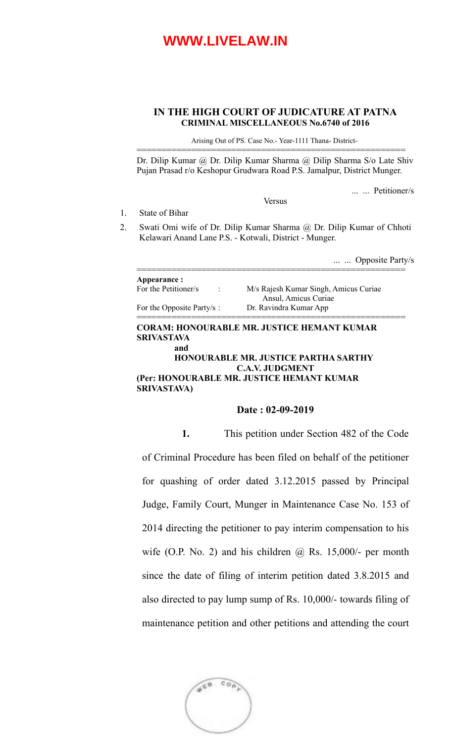# **[WWW.LIVELAW.IN](https://www.livelaw.in/)**

#### **IN THE HIGH COURT OF JUDICATURE AT PATNA CRIMINAL MISCELLANEOUS No.6740 of 2016**

Arising Out of PS. Case No.- Year-1111 Thana- District- ======================================================

Dr. Dilip Kumar @ Dr. Dilip Kumar Sharma @ Dilip Sharma S/o Late Shiv Pujan Prasad r/o Keshopur Grudwara Road P.S. Jamalpur, District Munger.

**Versus** 

... ... Petitioner/s

1. State of Bihar

2. Swati Omi wife of Dr. Dilip Kumar Sharma @ Dr. Dilip Kumar of Chhoti Kelawari Anand Lane P.S. - Kotwali, District - Munger.

|                            | Opposite Party/s                                              |
|----------------------------|---------------------------------------------------------------|
| <b>Appearance :</b>        |                                                               |
| For the Petitioner/s       | M/s Rajesh Kumar Singh, Amicus Curiae<br>Ansul, Amicus Curiae |
| For the Opposite Party/s : | Dr. Ravindra Kumar App                                        |
|                            |                                                               |

### **CORAM: HONOURABLE MR. JUSTICE HEMANT KUMAR SRIVASTAVA**

 **and**

 **HONOURABLE MR. JUSTICE PARTHA SARTHY C.A.V. JUDGMENT (Per: HONOURABLE MR. JUSTICE HEMANT KUMAR SRIVASTAVA)**

#### **Date : 02-09-2019**

**1.** This petition under Section 482 of the Code of Criminal Procedure has been filed on behalf of the petitioner for quashing of order dated 3.12.2015 passed by Principal Judge, Family Court, Munger in Maintenance Case No. 153 of 2014 directing the petitioner to pay interim compensation to his wife (O.P. No. 2) and his children  $\omega$  Rs. 15,000/- per month since the date of filing of interim petition dated 3.8.2015 and also directed to pay lump sump of Rs. 10,000/- towards filing of maintenance petition and other petitions and attending the court

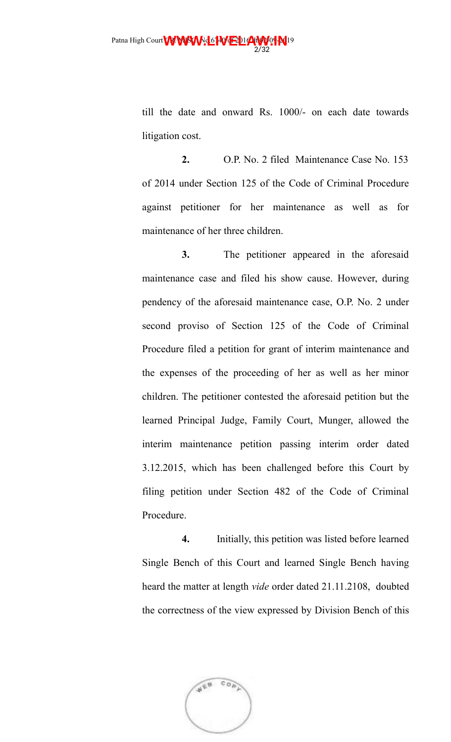till the date and onward Rs. 1000/- on each date towards litigation cost.

**2.** O.P. No. 2 filed Maintenance Case No. 153 of 2014 under Section 125 of the Code of Criminal Procedure against petitioner for her maintenance as well as for maintenance of her three children.

**3.** The petitioner appeared in the aforesaid maintenance case and filed his show cause. However, during pendency of the aforesaid maintenance case, O.P. No. 2 under second proviso of Section 125 of the Code of Criminal Procedure filed a petition for grant of interim maintenance and the expenses of the proceeding of her as well as her minor children. The petitioner contested the aforesaid petition but the learned Principal Judge, Family Court, Munger, allowed the interim maintenance petition passing interim order dated 3.12.2015, which has been challenged before this Court by filing petition under Section 482 of the Code of Criminal Procedure.

**4.** Initially, this petition was listed before learned Single Bench of this Court and learned Single Bench having heard the matter at length *vide* order dated 21.11.2108, doubted the correctness of the view expressed by Division Bench of this

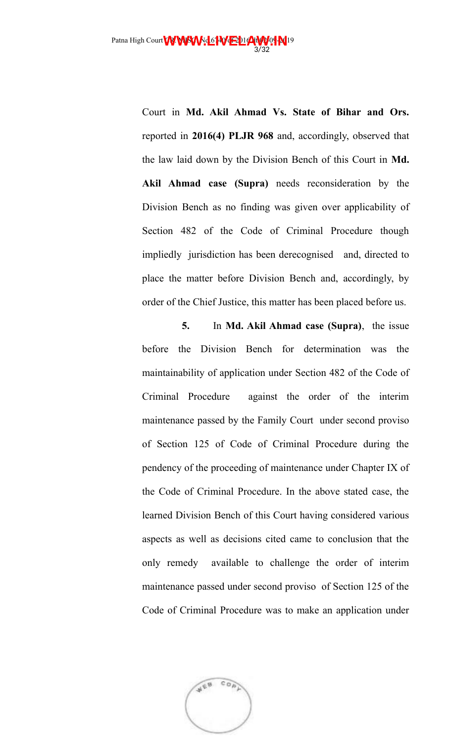Court in **Md. Akil Ahmad Vs. State of Bihar and Ors.** reported in **2016(4) PLJR 968** and, accordingly, observed that the law laid down by the Division Bench of this Court in **Md. Akil Ahmad case (Supra)** needs reconsideration by the Division Bench as no finding was given over applicability of Section 482 of the Code of Criminal Procedure though impliedly jurisdiction has been derecognised and, directed to place the matter before Division Bench and, accordingly, by order of the Chief Justice, this matter has been placed before us.

**5.** In **Md. Akil Ahmad case (Supra)**, the issue before the Division Bench for determination was the maintainability of application under Section 482 of the Code of Criminal Procedure against the order of the interim maintenance passed by the Family Court under second proviso of Section 125 of Code of Criminal Procedure during the pendency of the proceeding of maintenance under Chapter IX of the Code of Criminal Procedure. In the above stated case, the learned Division Bench of this Court having considered various aspects as well as decisions cited came to conclusion that the only remedy available to challenge the order of interim maintenance passed under second proviso of Section 125 of the Code of Criminal Procedure was to make an application under

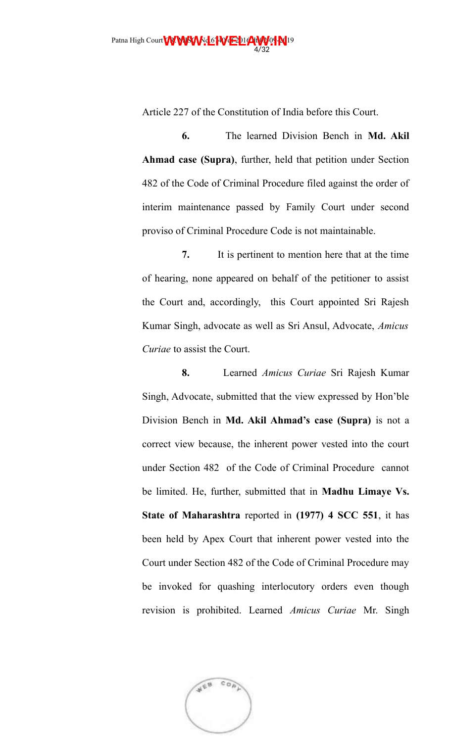Article 227 of the Constitution of India before this Court.

**6.** The learned Division Bench in **Md. Akil Ahmad case (Supra)**, further, held that petition under Section 482 of the Code of Criminal Procedure filed against the order of interim maintenance passed by Family Court under second proviso of Criminal Procedure Code is not maintainable.

**7.** It is pertinent to mention here that at the time of hearing, none appeared on behalf of the petitioner to assist the Court and, accordingly, this Court appointed Sri Rajesh Kumar Singh, advocate as well as Sri Ansul, Advocate, *Amicus Curiae* to assist the Court.

**8.** Learned *Amicus Curiae* Sri Rajesh Kumar Singh, Advocate, submitted that the view expressed by Hon'ble Division Bench in **Md. Akil Ahmad's case (Supra)** is not a correct view because, the inherent power vested into the court under Section 482 of the Code of Criminal Procedure cannot be limited. He, further, submitted that in **Madhu Limaye Vs. State of Maharashtra** reported in **(1977) 4 SCC 551**, it has been held by Apex Court that inherent power vested into the Court under Section 482 of the Code of Criminal Procedure may be invoked for quashing interlocutory orders even though revision is prohibited. Learned *Amicus Curiae* Mr. Singh

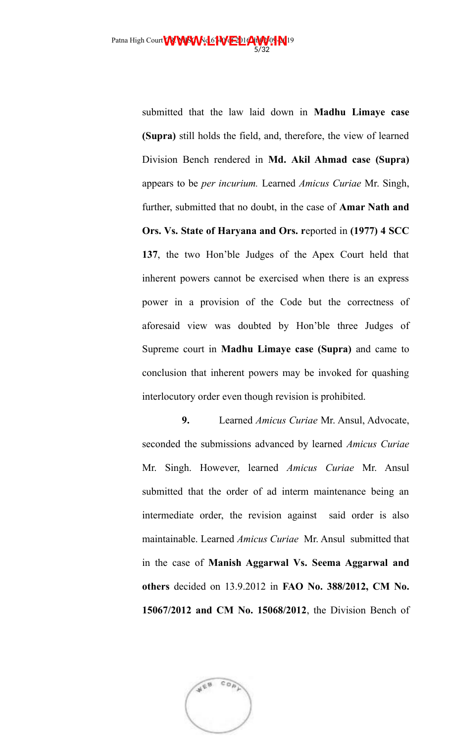submitted that the law laid down in **Madhu Limaye case (Supra)** still holds the field, and, therefore, the view of learned Division Bench rendered in **Md. Akil Ahmad case (Supra)** appears to be *per incurium.* Learned *Amicus Curiae* Mr. Singh, further, submitted that no doubt, in the case of **Amar Nath and Ors. Vs. State of Haryana and Ors. r**eported in **(1977) 4 SCC 137**, the two Hon'ble Judges of the Apex Court held that inherent powers cannot be exercised when there is an express power in a provision of the Code but the correctness of aforesaid view was doubted by Hon'ble three Judges of Supreme court in **Madhu Limaye case (Supra)** and came to conclusion that inherent powers may be invoked for quashing interlocutory order even though revision is prohibited.

**9.** Learned *Amicus Curiae* Mr. Ansul, Advocate, seconded the submissions advanced by learned *Amicus Curiae* Mr. Singh. However, learned *Amicus Curiae* Mr. Ansul submitted that the order of ad interm maintenance being an intermediate order, the revision against said order is also maintainable. Learned *Amicus Curiae* Mr. Ansul submitted that in the case of **Manish Aggarwal Vs. Seema Aggarwal and others** decided on 13.9.2012 in **FAO No. 388/2012, CM No. 15067/2012 and CM No. 15068/2012**, the Division Bench of

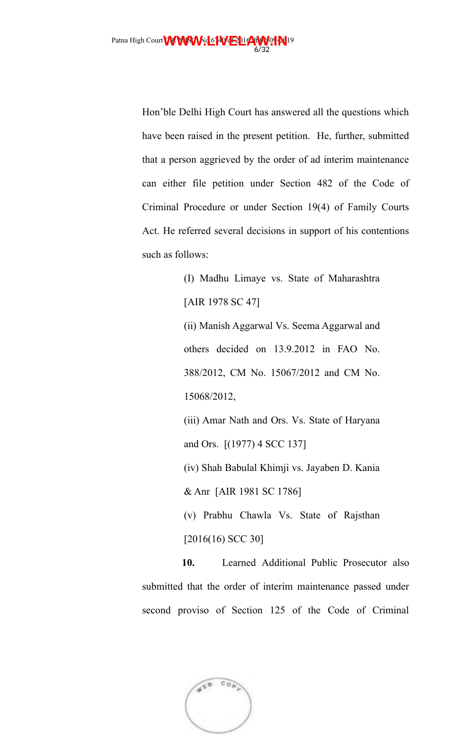Hon'ble Delhi High Court has answered all the questions which have been raised in the present petition. He, further, submitted that a person aggrieved by the order of ad interim maintenance can either file petition under Section 482 of the Code of Criminal Procedure or under Section 19(4) of Family Courts Act. He referred several decisions in support of his contentions such as follows:

> (I) Madhu Limaye vs. State of Maharashtra [AIR 1978 SC 47]

> (ii) Manish Aggarwal Vs. Seema Aggarwal and others decided on 13.9.2012 in FAO No. 388/2012, CM No. 15067/2012 and CM No. 15068/2012,

> (iii) Amar Nath and Ors. Vs. State of Haryana and Ors. [(1977) 4 SCC 137]

> (iv) Shah Babulal Khimji vs. Jayaben D. Kania

& Anr [AIR 1981 SC 1786]

(v) Prabhu Chawla Vs. State of Rajsthan [2016(16) SCC 30]

**10.** Learned Additional Public Prosecutor also submitted that the order of interim maintenance passed under second proviso of Section 125 of the Code of Criminal

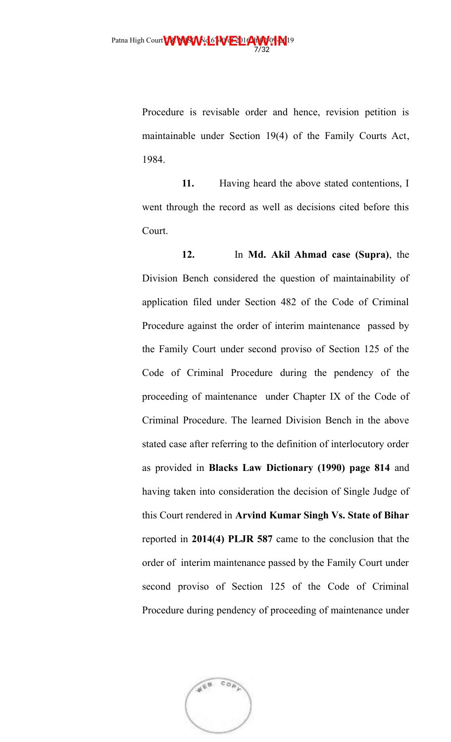Procedure is revisable order and hence, revision petition is maintainable under Section 19(4) of the Family Courts Act, 1984.

**11.** Having heard the above stated contentions, I went through the record as well as decisions cited before this Court.

**12.** In **Md. Akil Ahmad case (Supra)**, the Division Bench considered the question of maintainability of application filed under Section 482 of the Code of Criminal Procedure against the order of interim maintenance passed by the Family Court under second proviso of Section 125 of the Code of Criminal Procedure during the pendency of the proceeding of maintenance under Chapter IX of the Code of Criminal Procedure. The learned Division Bench in the above stated case after referring to the definition of interlocutory order as provided in **Blacks Law Dictionary (1990) page 814** and having taken into consideration the decision of Single Judge of this Court rendered in **Arvind Kumar Singh Vs. State of Bihar** reported in **2014(4) PLJR 587** came to the conclusion that the order of interim maintenance passed by the Family Court under second proviso of Section 125 of the Code of Criminal Procedure during pendency of proceeding of maintenance under

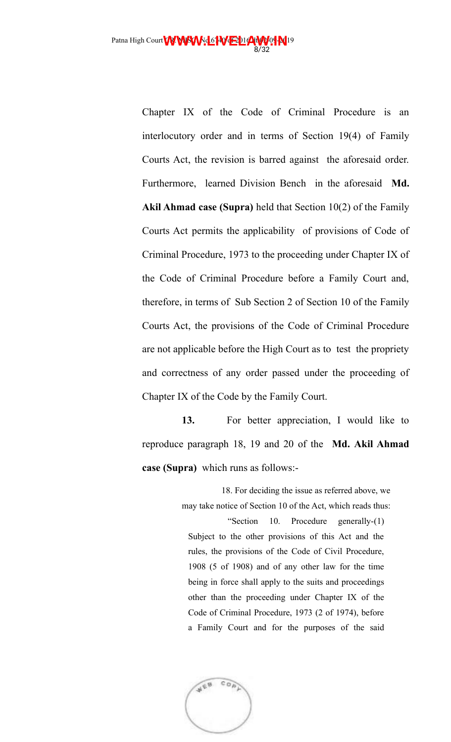Chapter IX of the Code of Criminal Procedure is an interlocutory order and in terms of Section 19(4) of Family Courts Act, the revision is barred against the aforesaid order. Furthermore, learned Division Bench in the aforesaid **Md. Akil Ahmad case (Supra)** held that Section 10(2) of the Family Courts Act permits the applicability of provisions of Code of Criminal Procedure, 1973 to the proceeding under Chapter IX of the Code of Criminal Procedure before a Family Court and, therefore, in terms of Sub Section 2 of Section 10 of the Family Courts Act, the provisions of the Code of Criminal Procedure are not applicable before the High Court as to test the propriety and correctness of any order passed under the proceeding of Chapter IX of the Code by the Family Court.

**13.** For better appreciation, I would like to reproduce paragraph 18, 19 and 20 of the **Md. Akil Ahmad case (Supra)** which runs as follows:-

> 18. For deciding the issue as referred above, we may take notice of Section 10 of the Act, which reads thus: "Section 10. Procedure generally-(1) Subject to the other provisions of this Act and the rules, the provisions of the Code of Civil Procedure, 1908 (5 of 1908) and of any other law for the time being in force shall apply to the suits and proceedings other than the proceeding under Chapter IX of the Code of Criminal Procedure, 1973 (2 of 1974), before a Family Court and for the purposes of the said

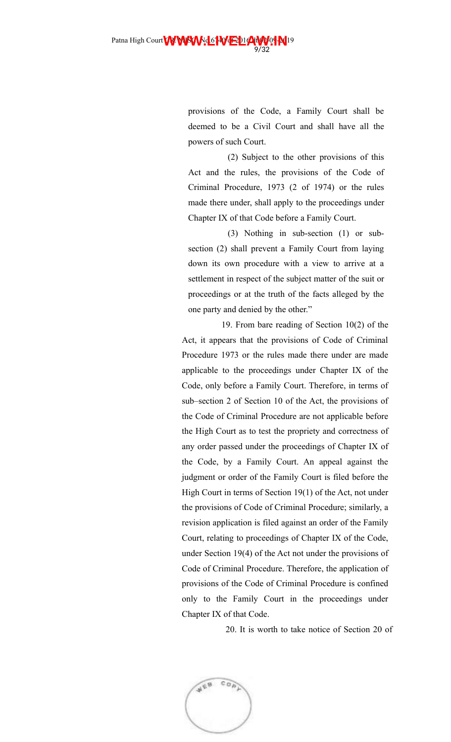Patna High Court **WWW.NAL6PVELLAW09M**19 9/32

> provisions of the Code, a Family Court shall be deemed to be a Civil Court and shall have all the powers of such Court.

> (2) Subject to the other provisions of this Act and the rules, the provisions of the Code of Criminal Procedure, 1973 (2 of 1974) or the rules made there under, shall apply to the proceedings under Chapter IX of that Code before a Family Court.

> (3) Nothing in sub-section (1) or subsection (2) shall prevent a Family Court from laying down its own procedure with a view to arrive at a settlement in respect of the subject matter of the suit or proceedings or at the truth of the facts alleged by the one party and denied by the other."

19. From bare reading of Section 10(2) of the Act, it appears that the provisions of Code of Criminal Procedure 1973 or the rules made there under are made applicable to the proceedings under Chapter IX of the Code, only before a Family Court. Therefore, in terms of sub–section 2 of Section 10 of the Act, the provisions of the Code of Criminal Procedure are not applicable before the High Court as to test the propriety and correctness of any order passed under the proceedings of Chapter IX of the Code, by a Family Court. An appeal against the judgment or order of the Family Court is filed before the High Court in terms of Section 19(1) of the Act, not under the provisions of Code of Criminal Procedure; similarly, a revision application is filed against an order of the Family Court, relating to proceedings of Chapter IX of the Code, under Section 19(4) of the Act not under the provisions of Code of Criminal Procedure. Therefore, the application of provisions of the Code of Criminal Procedure is confined only to the Family Court in the proceedings under Chapter IX of that Code.

20. It is worth to take notice of Section 20 of

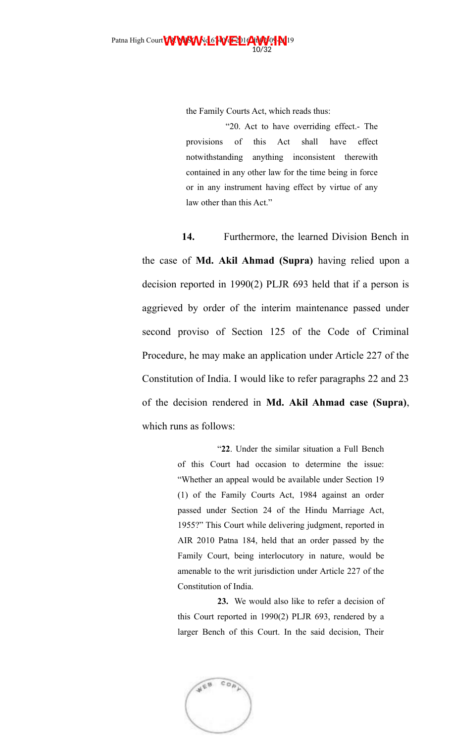the Family Courts Act, which reads thus:

"20. Act to have overriding effect.- The provisions of this Act shall have effect notwithstanding anything inconsistent therewith contained in any other law for the time being in force or in any instrument having effect by virtue of any law other than this Act."

**14.** Furthermore, the learned Division Bench in the case of **Md. Akil Ahmad (Supra)** having relied upon a decision reported in 1990(2) PLJR 693 held that if a person is aggrieved by order of the interim maintenance passed under second proviso of Section 125 of the Code of Criminal Procedure, he may make an application under Article 227 of the Constitution of India. I would like to refer paragraphs 22 and 23 of the decision rendered in **Md. Akil Ahmad case (Supra)**, which runs as follows:

> "**22**. Under the similar situation a Full Bench of this Court had occasion to determine the issue: "Whether an appeal would be available under Section 19 (1) of the Family Courts Act, 1984 against an order passed under Section 24 of the Hindu Marriage Act, 1955?" This Court while delivering judgment, reported in AIR 2010 Patna 184, held that an order passed by the Family Court, being interlocutory in nature, would be amenable to the writ jurisdiction under Article 227 of the Constitution of India.

> **23.** We would also like to refer a decision of this Court reported in 1990(2) PLJR 693, rendered by a larger Bench of this Court. In the said decision, Their

WEB  $CO<sub>0</sub>$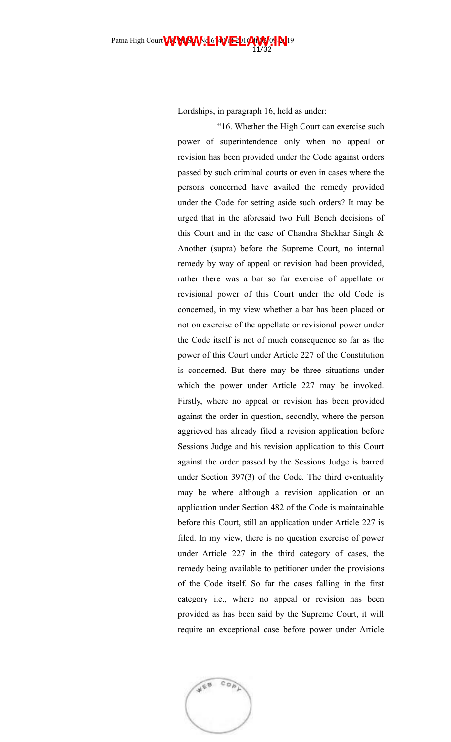Lordships, in paragraph 16, held as under:

"16. Whether the High Court can exercise such power of superintendence only when no appeal or revision has been provided under the Code against orders passed by such criminal courts or even in cases where the persons concerned have availed the remedy provided under the Code for setting aside such orders? It may be urged that in the aforesaid two Full Bench decisions of this Court and in the case of Chandra Shekhar Singh & Another (supra) before the Supreme Court, no internal remedy by way of appeal or revision had been provided, rather there was a bar so far exercise of appellate or revisional power of this Court under the old Code is concerned, in my view whether a bar has been placed or not on exercise of the appellate or revisional power under the Code itself is not of much consequence so far as the power of this Court under Article 227 of the Constitution is concerned. But there may be three situations under which the power under Article 227 may be invoked. Firstly, where no appeal or revision has been provided against the order in question, secondly, where the person aggrieved has already filed a revision application before Sessions Judge and his revision application to this Court against the order passed by the Sessions Judge is barred under Section 397(3) of the Code. The third eventuality may be where although a revision application or an application under Section 482 of the Code is maintainable before this Court, still an application under Article 227 is filed. In my view, there is no question exercise of power under Article 227 in the third category of cases, the remedy being available to petitioner under the provisions of the Code itself. So far the cases falling in the first category i.e., where no appeal or revision has been provided as has been said by the Supreme Court, it will require an exceptional case before power under Article

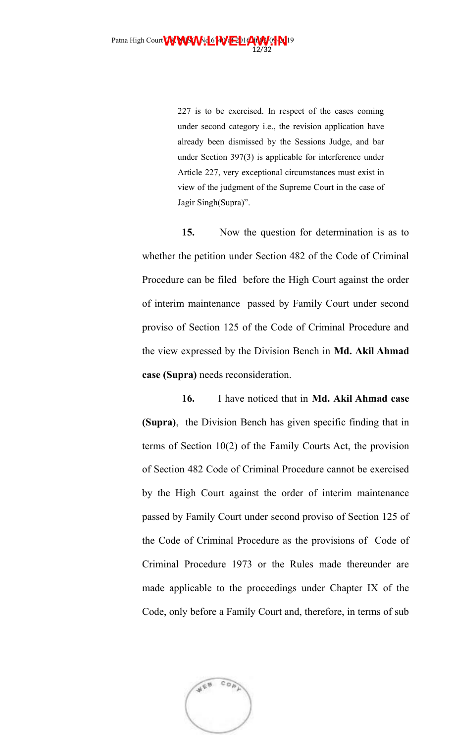Patna High Court **WWW.NAL6PVELLAW.04N**19 12/32

> 227 is to be exercised. In respect of the cases coming under second category i.e., the revision application have already been dismissed by the Sessions Judge, and bar under Section 397(3) is applicable for interference under Article 227, very exceptional circumstances must exist in view of the judgment of the Supreme Court in the case of Jagir Singh(Supra)".

**15.** Now the question for determination is as to whether the petition under Section 482 of the Code of Criminal Procedure can be filed before the High Court against the order of interim maintenance passed by Family Court under second proviso of Section 125 of the Code of Criminal Procedure and the view expressed by the Division Bench in **Md. Akil Ahmad case (Supra)** needs reconsideration.

**16.** I have noticed that in **Md. Akil Ahmad case (Supra)**, the Division Bench has given specific finding that in terms of Section 10(2) of the Family Courts Act, the provision of Section 482 Code of Criminal Procedure cannot be exercised by the High Court against the order of interim maintenance passed by Family Court under second proviso of Section 125 of the Code of Criminal Procedure as the provisions of Code of Criminal Procedure 1973 or the Rules made thereunder are made applicable to the proceedings under Chapter IX of the Code, only before a Family Court and, therefore, in terms of sub

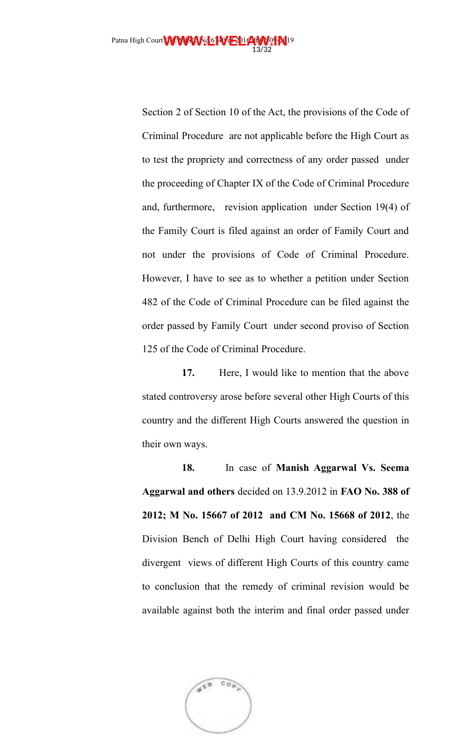Section 2 of Section 10 of the Act, the provisions of the Code of Criminal Procedure are not applicable before the High Court as to test the propriety and correctness of any order passed under the proceeding of Chapter IX of the Code of Criminal Procedure and, furthermore, revision application under Section 19(4) of the Family Court is filed against an order of Family Court and not under the provisions of Code of Criminal Procedure. However, I have to see as to whether a petition under Section 482 of the Code of Criminal Procedure can be filed against the order passed by Family Court under second proviso of Section 125 of the Code of Criminal Procedure.

**17.** Here, I would like to mention that the above stated controversy arose before several other High Courts of this country and the different High Courts answered the question in their own ways.

**18.** In case of **Manish Aggarwal Vs. Seema Aggarwal and others** decided on 13.9.2012 in **FAO No. 388 of 2012; M No. 15667 of 2012 and CM No. 15668 of 2012**, the Division Bench of Delhi High Court having considered the divergent views of different High Courts of this country came to conclusion that the remedy of criminal revision would be available against both the interim and final order passed under

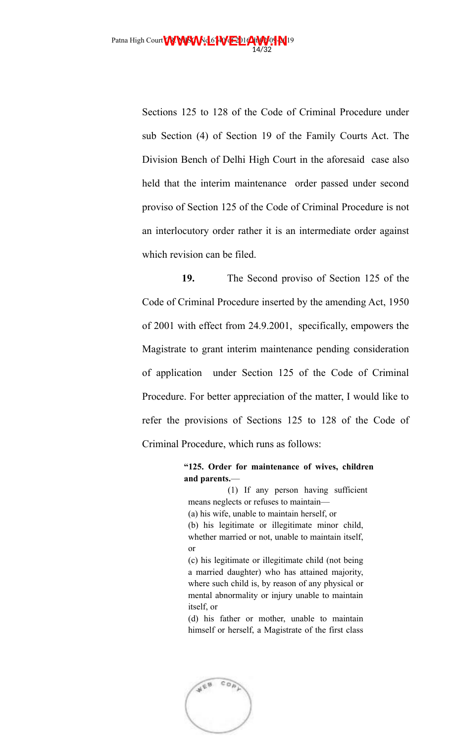Sections 125 to 128 of the Code of Criminal Procedure under sub Section (4) of Section 19 of the Family Courts Act. The Division Bench of Delhi High Court in the aforesaid case also held that the interim maintenance order passed under second proviso of Section 125 of the Code of Criminal Procedure is not an interlocutory order rather it is an intermediate order against which revision can be filed.

**19.** The Second proviso of Section 125 of the Code of Criminal Procedure inserted by the amending Act, 1950 of 2001 with effect from 24.9.2001, specifically, empowers the Magistrate to grant interim maintenance pending consideration of application under Section 125 of the Code of Criminal Procedure. For better appreciation of the matter, I would like to refer the provisions of Sections 125 to 128 of the Code of Criminal Procedure, which runs as follows:

### **"125. Order for maintenance of wives, children and parents.**—

(1) If any person having sufficient means neglects or refuses to maintain—

(a) his wife, unable to maintain herself, or

(b) his legitimate or illegitimate minor child, whether married or not, unable to maintain itself, or

(c) his legitimate or illegitimate child (not being a married daughter) who has attained majority, where such child is, by reason of any physical or mental abnormality or injury unable to maintain itself, or

(d) his father or mother, unable to maintain himself or herself, a Magistrate of the first class

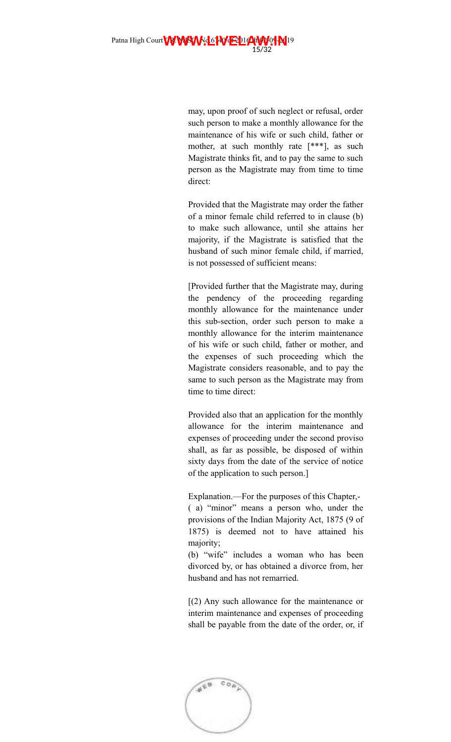may, upon proof of such neglect or refusal, order such person to make a monthly allowance for the maintenance of his wife or such child, father or mother, at such monthly rate [\*\*\*], as such Magistrate thinks fit, and to pay the same to such person as the Magistrate may from time to time direct:

Provided that the Magistrate may order the father of a minor female child referred to in clause (b) to make such allowance, until she attains her majority, if the Magistrate is satisfied that the husband of such minor female child, if married, is not possessed of sufficient means:

[Provided further that the Magistrate may, during the pendency of the proceeding regarding monthly allowance for the maintenance under this sub-section, order such person to make a monthly allowance for the interim maintenance of his wife or such child, father or mother, and the expenses of such proceeding which the Magistrate considers reasonable, and to pay the same to such person as the Magistrate may from time to time direct:

Provided also that an application for the monthly allowance for the interim maintenance and expenses of proceeding under the second proviso shall, as far as possible, be disposed of within sixty days from the date of the service of notice of the application to such person.]

Explanation.—For the purposes of this Chapter,- ( a) "minor" means a person who, under the provisions of the Indian Majority Act, 1875 (9 of 1875) is deemed not to have attained his majority;

(b) "wife" includes a woman who has been divorced by, or has obtained a divorce from, her husband and has not remarried.

[(2) Any such allowance for the maintenance or interim maintenance and expenses of proceeding shall be payable from the date of the order, or, if

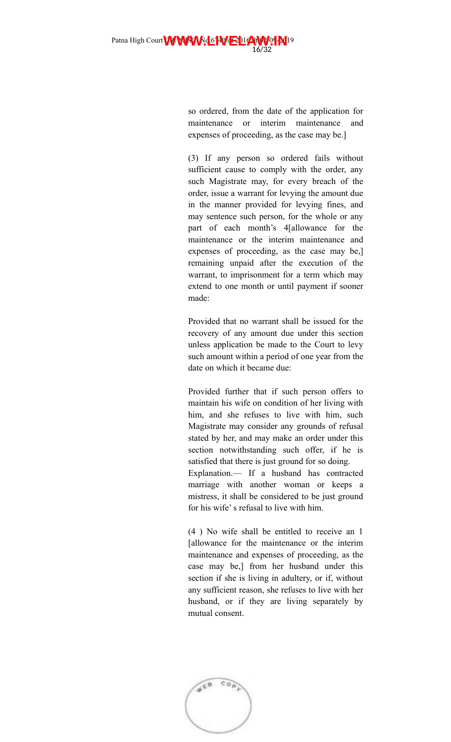so ordered, from the date of the application for maintenance or interim maintenance and expenses of proceeding, as the case may be.]

(3) If any person so ordered fails without sufficient cause to comply with the order, any such Magistrate may, for every breach of the order, issue a warrant for levying the amount due in the manner provided for levying fines, and may sentence such person, for the whole or any part of each month's 4[allowance for the maintenance or the interim maintenance and expenses of proceeding, as the case may be,] remaining unpaid after the execution of the warrant, to imprisonment for a term which may extend to one month or until payment if sooner made:

Provided that no warrant shall be issued for the recovery of any amount due under this section unless application be made to the Court to levy such amount within a period of one year from the date on which it became due:

Provided further that if such person offers to maintain his wife on condition of her living with him, and she refuses to live with him, such Magistrate may consider any grounds of refusal stated by her, and may make an order under this section notwithstanding such offer, if he is satisfied that there is just ground for so doing. Explanation.— If a husband has contracted marriage with another woman or keeps a mistress, it shall be considered to be just ground for his wife' s refusal to live with him.

(4 ) No wife shall be entitled to receive an 1 [allowance for the maintenance or the interim maintenance and expenses of proceeding, as the case may be,] from her husband under this section if she is living in adultery, or if, without any sufficient reason, she refuses to live with her husband, or if they are living separately by mutual consent.

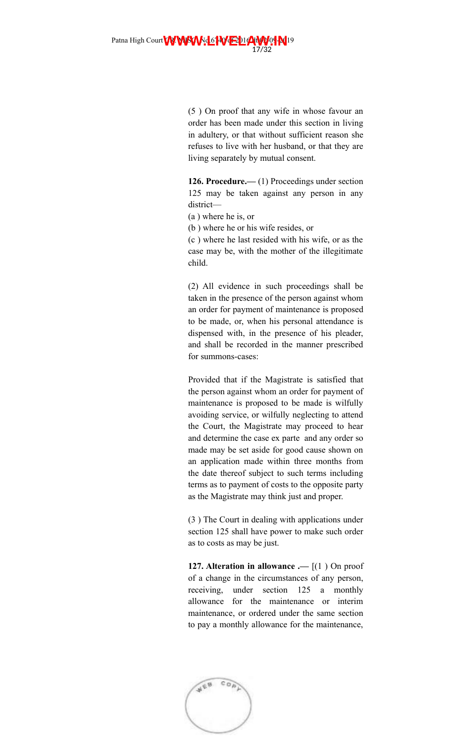(5 ) On proof that any wife in whose favour an order has been made under this section in living in adultery, or that without sufficient reason she refuses to live with her husband, or that they are living separately by mutual consent.

**126. Procedure.—** (1) Proceedings under section 125 may be taken against any person in any district—

(a ) where he is, or

(b ) where he or his wife resides, or

(c ) where he last resided with his wife, or as the case may be, with the mother of the illegitimate child.

(2) All evidence in such proceedings shall be taken in the presence of the person against whom an order for payment of maintenance is proposed to be made, or, when his personal attendance is dispensed with, in the presence of his pleader, and shall be recorded in the manner prescribed for summons-cases:

Provided that if the Magistrate is satisfied that the person against whom an order for payment of maintenance is proposed to be made is wilfully avoiding service, or wilfully neglecting to attend the Court, the Magistrate may proceed to hear and determine the case ex parte and any order so made may be set aside for good cause shown on an application made within three months from the date thereof subject to such terms including terms as to payment of costs to the opposite party as the Magistrate may think just and proper.

(3 ) The Court in dealing with applications under section 125 shall have power to make such order as to costs as may be just.

**127. Alteration in allowance .—** [(1 ) On proof of a change in the circumstances of any person, receiving, under section 125 a monthly allowance for the maintenance or interim maintenance, or ordered under the same section to pay a monthly allowance for the maintenance,

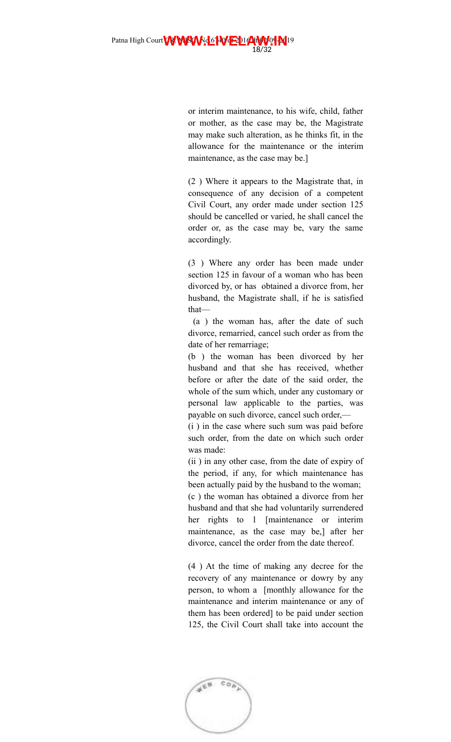or interim maintenance, to his wife, child, father or mother, as the case may be, the Magistrate may make such alteration, as he thinks fit, in the allowance for the maintenance or the interim maintenance, as the case may be.]

(2 ) Where it appears to the Magistrate that, in consequence of any decision of a competent Civil Court, any order made under section 125 should be cancelled or varied, he shall cancel the order or, as the case may be, vary the same accordingly.

(3 ) Where any order has been made under section 125 in favour of a woman who has been divorced by, or has obtained a divorce from, her husband, the Magistrate shall, if he is satisfied that—

 (a ) the woman has, after the date of such divorce, remarried, cancel such order as from the date of her remarriage;

(b ) the woman has been divorced by her husband and that she has received, whether before or after the date of the said order, the whole of the sum which, under any customary or personal law applicable to the parties, was payable on such divorce, cancel such order,—

(i ) in the case where such sum was paid before such order, from the date on which such order was made:

(ii ) in any other case, from the date of expiry of the period, if any, for which maintenance has been actually paid by the husband to the woman; (c ) the woman has obtained a divorce from her husband and that she had voluntarily surrendered her rights to 1 [maintenance or interim maintenance, as the case may be,] after her divorce, cancel the order from the date thereof.

(4 ) At the time of making any decree for the recovery of any maintenance or dowry by any person, to whom a [monthly allowance for the maintenance and interim maintenance or any of them has been ordered] to be paid under section 125, the Civil Court shall take into account the

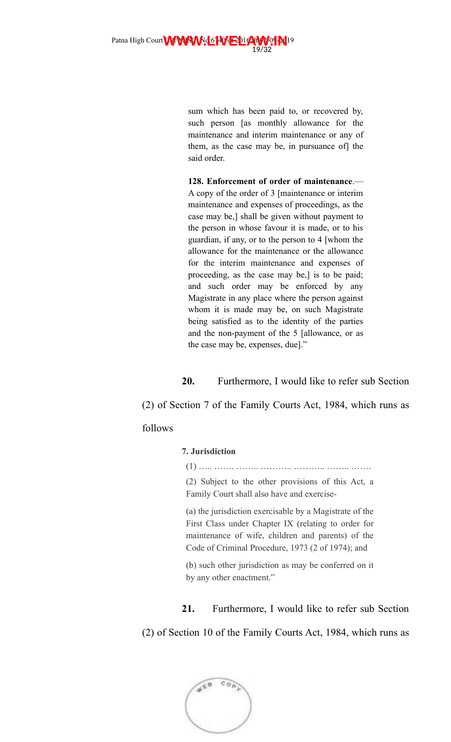Patna High Court **WWW.NAL6PVELLAW.04N**19 19/32

> sum which has been paid to, or recovered by, such person [as monthly allowance for the maintenance and interim maintenance or any of them, as the case may be, in pursuance of] the said order.

> **128. Enforcement of order of maintenance**.— A copy of the order of 3 [maintenance or interim maintenance and expenses of proceedings, as the case may be,] shall be given without payment to the person in whose favour it is made, or to his guardian, if any, or to the person to 4 [whom the allowance for the maintenance or the allowance for the interim maintenance and expenses of proceeding, as the case may be,] is to be paid; and such order may be enforced by any Magistrate in any place where the person against whom it is made may be, on such Magistrate being satisfied as to the identity of the parties and the non-payment of the 5 [allowance, or as the case may be, expenses, due]."

**20.** Furthermore, I would like to refer sub Section

(2) of Section 7 of the Family Courts Act, 1984, which runs as

## follows

### **7. Jurisdiction**

(1) ….. ……. …….. ……….. ……….. …….. …….

(2) Subject to the other provisions of this Act, a Family Court shall also have and exercise-

(a) the jurisdiction exercisable by a Magistrate of the First Class under Chapter IX (relating to order for maintenance of wife, children and parents) of the Code of Criminal Procedure, 1973 (2 of 1974); and

(b) such other jurisdiction as may be conferred on it by any other enactment."

# **21.** Furthermore, I would like to refer sub Section

(2) of Section 10 of the Family Courts Act, 1984, which runs as

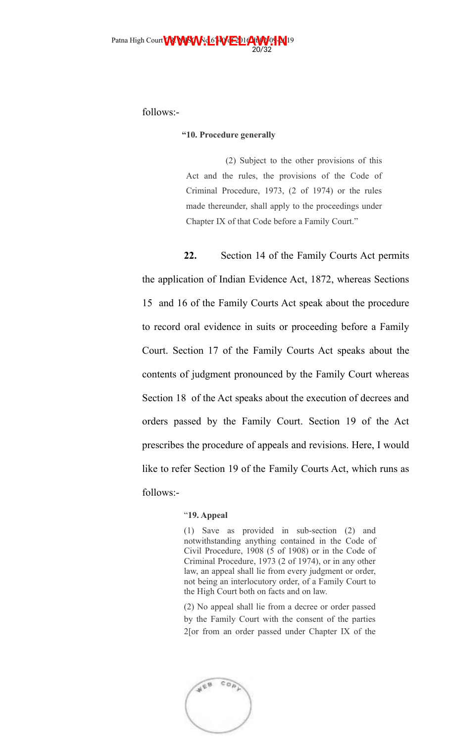follows:-

#### **"10. Procedure generally**

(2) Subject to the other provisions of this Act and the rules, the provisions of the Code of Criminal Procedure, 1973, (2 of 1974) or the rules made thereunder, shall apply to the proceedings under Chapter IX of that Code before a Family Court."

**22.** Section 14 of the Family Courts Act permits the application of Indian Evidence Act, 1872, whereas Sections 15 and 16 of the Family Courts Act speak about the procedure to record oral evidence in suits or proceeding before a Family Court. Section 17 of the Family Courts Act speaks about the contents of judgment pronounced by the Family Court whereas Section 18 of the Act speaks about the execution of decrees and orders passed by the Family Court. Section 19 of the Act prescribes the procedure of appeals and revisions. Here, I would like to refer Section 19 of the Family Courts Act, which runs as follows:-

#### "**19. Appeal**

(1) Save as provided in sub-section (2) and notwithstanding anything contained in the Code of Civil Procedure, 1908 (5 of 1908) or in the Code of Criminal Procedure, 1973 (2 of 1974), or in any other law, an appeal shall lie from every judgment or order, not being an interlocutory order, of a Family Court to the High Court both on facts and on law.

(2) No appeal shall lie from a decree or order passed by the Family Court with the consent of the parties 2[or from an order passed under Chapter IX of the

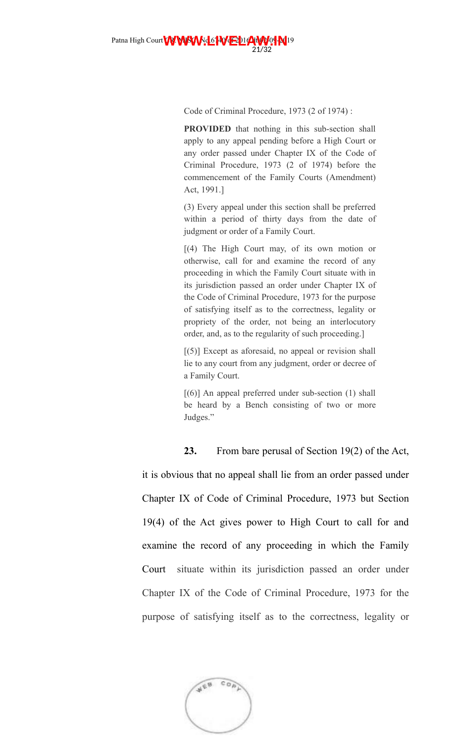Code of Criminal Procedure, 1973 (2 of 1974) :

**PROVIDED** that nothing in this sub-section shall apply to any appeal pending before a High Court or any order passed under Chapter IX of the Code of Criminal Procedure, 1973 (2 of 1974) before the commencement of the Family Courts (Amendment) Act, 1991.]

(3) Every appeal under this section shall be preferred within a period of thirty days from the date of judgment or order of a Family Court.

[(4) The High Court may, of its own motion or otherwise, call for and examine the record of any proceeding in which the Family Court situate with in its jurisdiction passed an order under Chapter IX of the Code of Criminal Procedure, 1973 for the purpose of satisfying itself as to the correctness, legality or propriety of the order, not being an interlocutory order, and, as to the regularity of such proceeding.]

 $[(5)]$  Except as aforesaid, no appeal or revision shall lie to any court from any judgment, order or decree of a Family Court.

 $[(6)]$  An appeal preferred under sub-section  $(1)$  shall be heard by a Bench consisting of two or more Judges."

**23.** From bare perusal of Section 19(2) of the Act,

it is obvious that no appeal shall lie from an order passed under Chapter IX of Code of Criminal Procedure, 1973 but Section 19(4) of the Act gives power to High Court to call for and examine the record of any proceeding in which the Family Court situate within its jurisdiction passed an order under Chapter IX of the Code of Criminal Procedure, 1973 for the purpose of satisfying itself as to the correctness, legality or

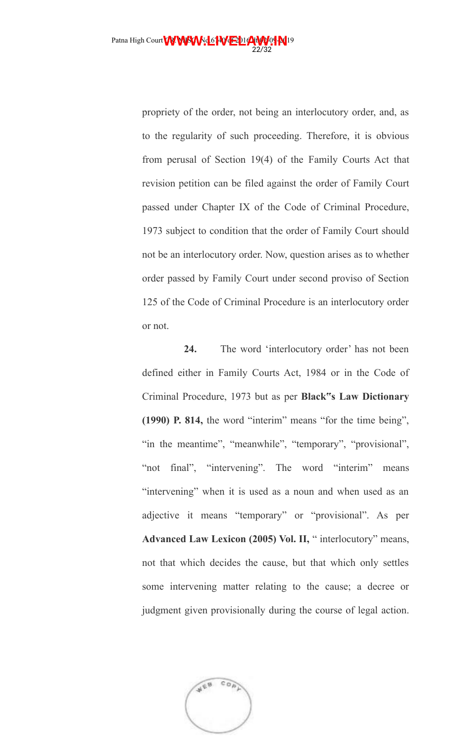propriety of the order, not being an interlocutory order, and, as to the regularity of such proceeding. Therefore, it is obvious from perusal of Section 19(4) of the Family Courts Act that revision petition can be filed against the order of Family Court passed under Chapter IX of the Code of Criminal Procedure, 1973 subject to condition that the order of Family Court should not be an interlocutory order. Now, question arises as to whether order passed by Family Court under second proviso of Section 125 of the Code of Criminal Procedure is an interlocutory order or not.

**24.** The word 'interlocutory order' has not been defined either in Family Courts Act, 1984 or in the Code of Criminal Procedure, 1973 but as per **Black"s Law Dictionary (1990) P. 814,** the word "interim" means "for the time being", "in the meantime", "meanwhile", "temporary", "provisional", "not final", "intervening". The word "interim" means "intervening" when it is used as a noun and when used as an adjective it means "temporary" or "provisional". As per **Advanced Law Lexicon (2005) Vol. II,** " interlocutory" means, not that which decides the cause, but that which only settles some intervening matter relating to the cause; a decree or judgment given provisionally during the course of legal action.

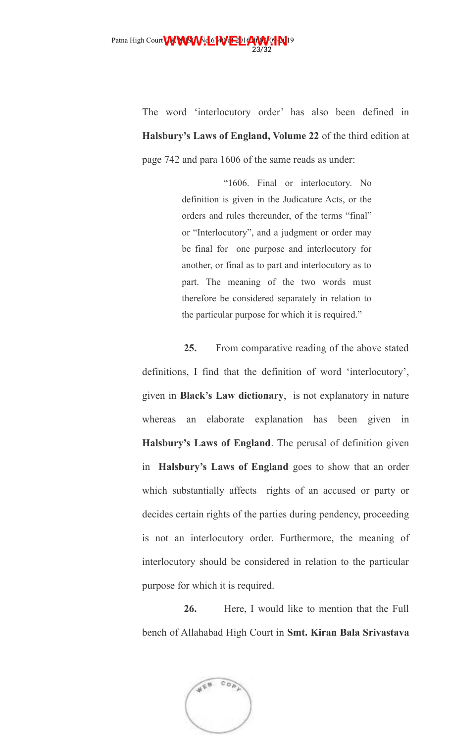The word 'interlocutory order' has also been defined in **Halsbury's Laws of England, Volume 22** of the third edition at page 742 and para 1606 of the same reads as under:

> "1606. Final or interlocutory. No definition is given in the Judicature Acts, or the orders and rules thereunder, of the terms "final" or "Interlocutory", and a judgment or order may be final for one purpose and interlocutory for another, or final as to part and interlocutory as to part. The meaning of the two words must therefore be considered separately in relation to the particular purpose for which it is required."

**25.** From comparative reading of the above stated definitions, I find that the definition of word 'interlocutory', given in **Black's Law dictionary**, is not explanatory in nature whereas an elaborate explanation has been given in **Halsbury's Laws of England**. The perusal of definition given in **Halsbury's Laws of England** goes to show that an order which substantially affects rights of an accused or party or decides certain rights of the parties during pendency, proceeding is not an interlocutory order. Furthermore, the meaning of interlocutory should be considered in relation to the particular purpose for which it is required.

**26.** Here, I would like to mention that the Full bench of Allahabad High Court in **Smt. Kiran Bala Srivastava**

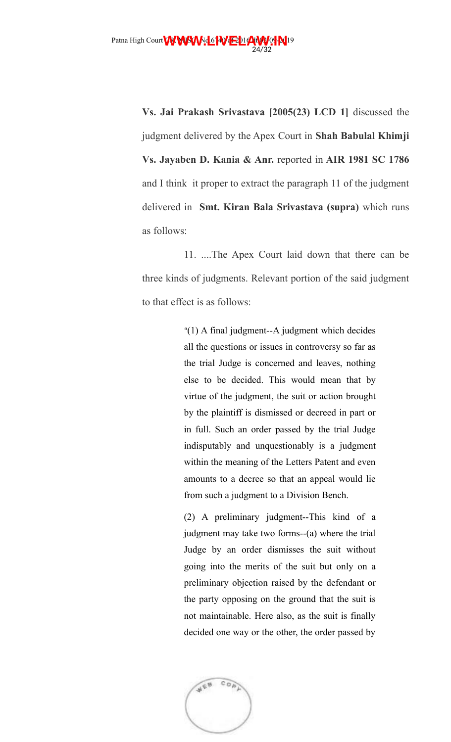**Vs. Jai Prakash Srivastava [2005(23) LCD 1]** discussed the judgment delivered by the Apex Court in **Shah Babulal Khimji Vs. Jayaben D. Kania & Anr.** reported in **AIR 1981 SC 1786** and I think it proper to extract the paragraph 11 of the judgment delivered in **Smt. Kiran Bala Srivastava (supra)** which runs as follows:

11. ....The Apex Court laid down that there can be three kinds of judgments. Relevant portion of the said judgment to that effect is as follows:

> "(1) A final judgment--A judgment which decides all the questions or issues in controversy so far as the trial Judge is concerned and leaves, nothing else to be decided. This would mean that by virtue of the judgment, the suit or action brought by the plaintiff is dismissed or decreed in part or in full. Such an order passed by the trial Judge indisputably and unquestionably is a judgment within the meaning of the Letters Patent and even amounts to a decree so that an appeal would lie from such a judgment to a Division Bench.

> (2) A preliminary judgment--This kind of a judgment may take two forms--(a) where the trial Judge by an order dismisses the suit without going into the merits of the suit but only on a preliminary objection raised by the defendant or the party opposing on the ground that the suit is not maintainable. Here also, as the suit is finally decided one way or the other, the order passed by

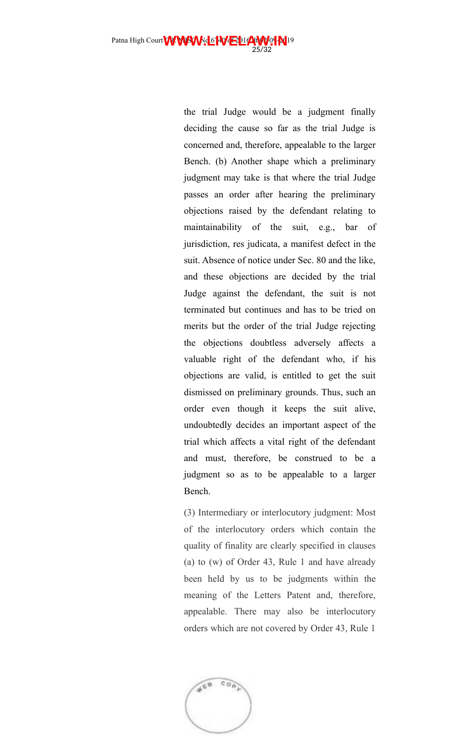the trial Judge would be a judgment finally deciding the cause so far as the trial Judge is concerned and, therefore, appealable to the larger Bench. (b) Another shape which a preliminary judgment may take is that where the trial Judge passes an order after hearing the preliminary objections raised by the defendant relating to maintainability of the suit, e.g., bar of jurisdiction, res judicata, a manifest defect in the suit. Absence of notice under Sec. 80 and the like, and these objections are decided by the trial Judge against the defendant, the suit is not terminated but continues and has to be tried on merits but the order of the trial Judge rejecting the objections doubtless adversely affects a valuable right of the defendant who, if his objections are valid, is entitled to get the suit dismissed on preliminary grounds. Thus, such an order even though it keeps the suit alive, undoubtedly decides an important aspect of the trial which affects a vital right of the defendant and must, therefore, be construed to be a judgment so as to be appealable to a larger Bench.

(3) Intermediary or interlocutory judgment: Most of the interlocutory orders which contain the quality of finality are clearly specified in clauses (a) to (w) of Order 43, Rule 1 and have already been held by us to be judgments within the meaning of the Letters Patent and, therefore, appealable. There may also be interlocutory orders which are not covered by Order 43, Rule 1

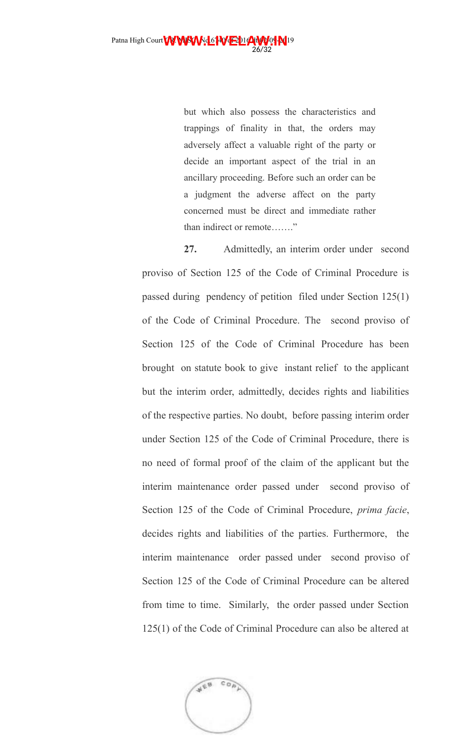Patna High Court **WWW.NAL6PVELLAW04N**19 26/32

> but which also possess the characteristics and trappings of finality in that, the orders may adversely affect a valuable right of the party or decide an important aspect of the trial in an ancillary proceeding. Before such an order can be a judgment the adverse affect on the party concerned must be direct and immediate rather than indirect or remote……."

**27.** Admittedly, an interim order under second proviso of Section 125 of the Code of Criminal Procedure is passed during pendency of petition filed under Section 125(1) of the Code of Criminal Procedure. The second proviso of Section 125 of the Code of Criminal Procedure has been brought on statute book to give instant relief to the applicant but the interim order, admittedly, decides rights and liabilities of the respective parties. No doubt, before passing interim order under Section 125 of the Code of Criminal Procedure, there is no need of formal proof of the claim of the applicant but the interim maintenance order passed under second proviso of Section 125 of the Code of Criminal Procedure, *prima facie*, decides rights and liabilities of the parties. Furthermore, the interim maintenance order passed under second proviso of Section 125 of the Code of Criminal Procedure can be altered from time to time. Similarly, the order passed under Section 125(1) of the Code of Criminal Procedure can also be altered at

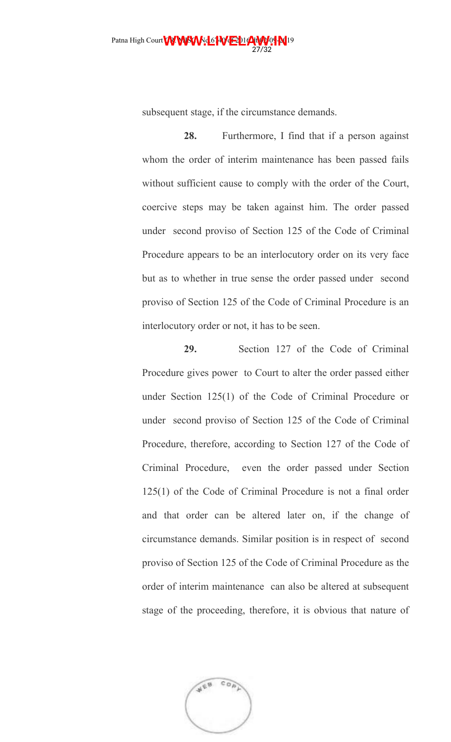subsequent stage, if the circumstance demands.

**28.** Furthermore, I find that if a person against whom the order of interim maintenance has been passed fails without sufficient cause to comply with the order of the Court, coercive steps may be taken against him. The order passed under second proviso of Section 125 of the Code of Criminal Procedure appears to be an interlocutory order on its very face but as to whether in true sense the order passed under second proviso of Section 125 of the Code of Criminal Procedure is an interlocutory order or not, it has to be seen.

**29.** Section 127 of the Code of Criminal Procedure gives power to Court to alter the order passed either under Section 125(1) of the Code of Criminal Procedure or under second proviso of Section 125 of the Code of Criminal Procedure, therefore, according to Section 127 of the Code of Criminal Procedure, even the order passed under Section 125(1) of the Code of Criminal Procedure is not a final order and that order can be altered later on, if the change of circumstance demands. Similar position is in respect of second proviso of Section 125 of the Code of Criminal Procedure as the order of interim maintenance can also be altered at subsequent stage of the proceeding, therefore, it is obvious that nature of

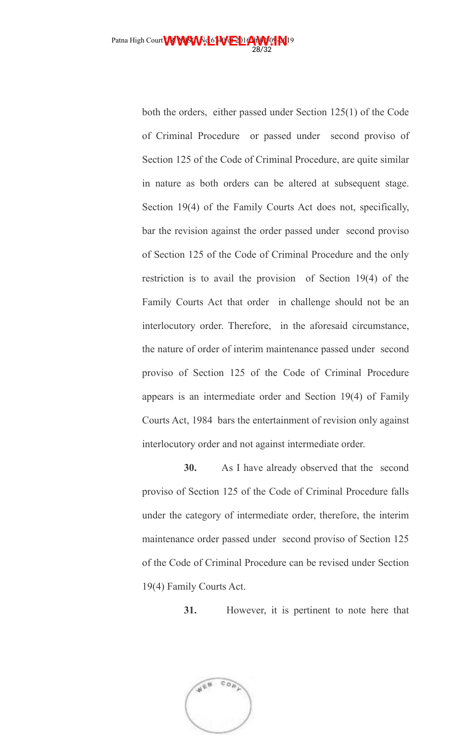both the orders, either passed under Section 125(1) of the Code of Criminal Procedure or passed under second proviso of Section 125 of the Code of Criminal Procedure, are quite similar in nature as both orders can be altered at subsequent stage. Section 19(4) of the Family Courts Act does not, specifically, bar the revision against the order passed under second proviso of Section 125 of the Code of Criminal Procedure and the only restriction is to avail the provision of Section 19(4) of the Family Courts Act that order in challenge should not be an interlocutory order. Therefore, in the aforesaid circumstance, the nature of order of interim maintenance passed under second proviso of Section 125 of the Code of Criminal Procedure appears is an intermediate order and Section 19(4) of Family Courts Act, 1984 bars the entertainment of revision only against interlocutory order and not against intermediate order.

**30.** As I have already observed that the second proviso of Section 125 of the Code of Criminal Procedure falls under the category of intermediate order, therefore, the interim maintenance order passed under second proviso of Section 125 of the Code of Criminal Procedure can be revised under Section 19(4) Family Courts Act.

**31.** However, it is pertinent to note here that

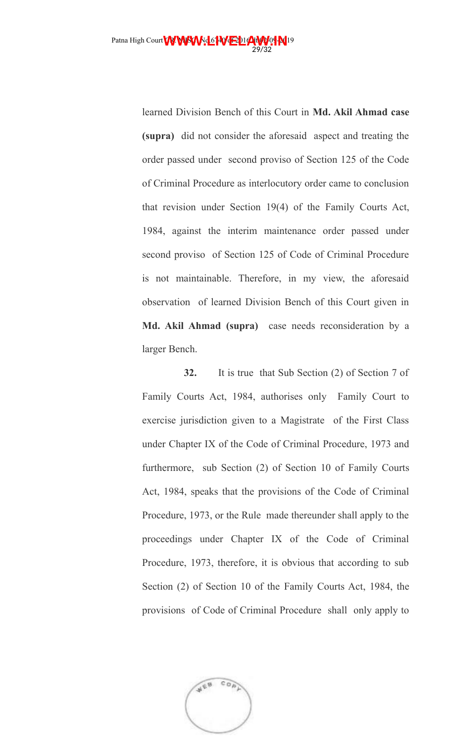learned Division Bench of this Court in **Md. Akil Ahmad case (supra)** did not consider the aforesaid aspect and treating the order passed under second proviso of Section 125 of the Code of Criminal Procedure as interlocutory order came to conclusion that revision under Section 19(4) of the Family Courts Act, 1984, against the interim maintenance order passed under second proviso of Section 125 of Code of Criminal Procedure is not maintainable. Therefore, in my view, the aforesaid observation of learned Division Bench of this Court given in **Md. Akil Ahmad (supra)** case needs reconsideration by a larger Bench.

**32.** It is true that Sub Section (2) of Section 7 of Family Courts Act, 1984, authorises only Family Court to exercise jurisdiction given to a Magistrate of the First Class under Chapter IX of the Code of Criminal Procedure, 1973 and furthermore, sub Section (2) of Section 10 of Family Courts Act, 1984, speaks that the provisions of the Code of Criminal Procedure, 1973, or the Rule made thereunder shall apply to the proceedings under Chapter IX of the Code of Criminal Procedure, 1973, therefore, it is obvious that according to sub Section (2) of Section 10 of the Family Courts Act, 1984, the provisions of Code of Criminal Procedure shall only apply to

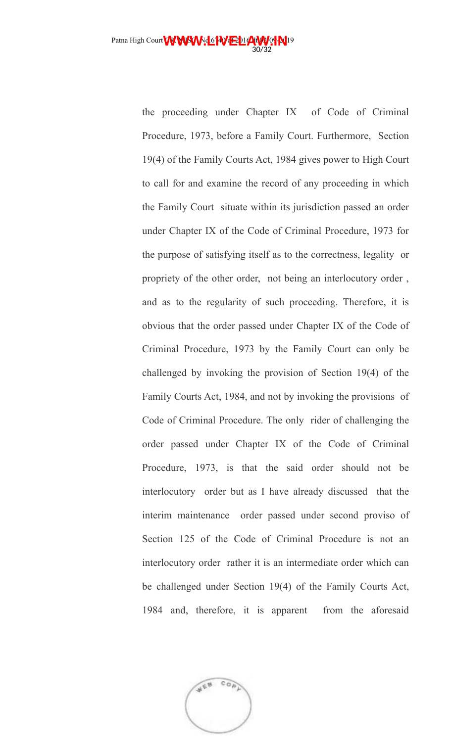the proceeding under Chapter IX of Code of Criminal Procedure, 1973, before a Family Court. Furthermore, Section 19(4) of the Family Courts Act, 1984 gives power to High Court to call for and examine the record of any proceeding in which the Family Court situate within its jurisdiction passed an order under Chapter IX of the Code of Criminal Procedure, 1973 for the purpose of satisfying itself as to the correctness, legality or propriety of the other order, not being an interlocutory order , and as to the regularity of such proceeding. Therefore, it is obvious that the order passed under Chapter IX of the Code of Criminal Procedure, 1973 by the Family Court can only be challenged by invoking the provision of Section 19(4) of the Family Courts Act, 1984, and not by invoking the provisions of Code of Criminal Procedure. The only rider of challenging the order passed under Chapter IX of the Code of Criminal Procedure, 1973, is that the said order should not be interlocutory order but as I have already discussed that the interim maintenance order passed under second proviso of Section 125 of the Code of Criminal Procedure is not an interlocutory order rather it is an intermediate order which can be challenged under Section 19(4) of the Family Courts Act, 1984 and, therefore, it is apparent from the aforesaid

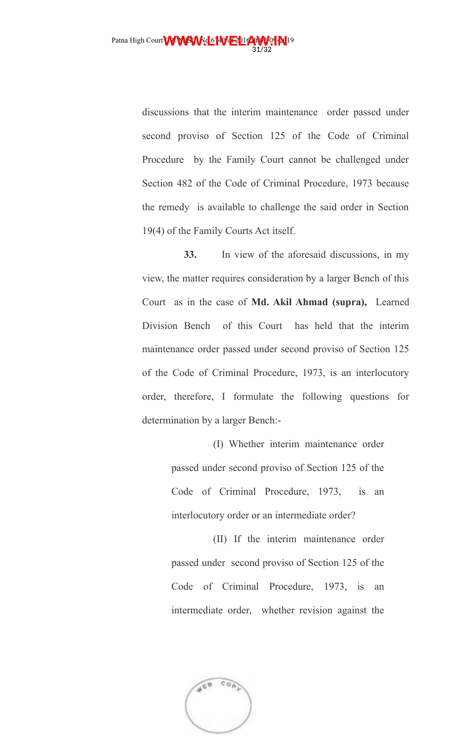discussions that the interim maintenance order passed under second proviso of Section 125 of the Code of Criminal Procedure by the Family Court cannot be challenged under Section 482 of the Code of Criminal Procedure, 1973 because the remedy is available to challenge the said order in Section 19(4) of the Family Courts Act itself.

**33.** In view of the aforesaid discussions, in my view, the matter requires consideration by a larger Bench of this Court as in the case of **Md. Akil Ahmad (supra),** Learned Division Bench of this Court has held that the interim maintenance order passed under second proviso of Section 125 of the Code of Criminal Procedure, 1973, is an interlocutory order, therefore, I formulate the following questions for determination by a larger Bench:-

> (I) Whether interim maintenance order passed under second proviso of Section 125 of the Code of Criminal Procedure, 1973, is an interlocutory order or an intermediate order?

> (II) If the interim maintenance order passed under second proviso of Section 125 of the Code of Criminal Procedure, 1973, is an intermediate order, whether revision against the